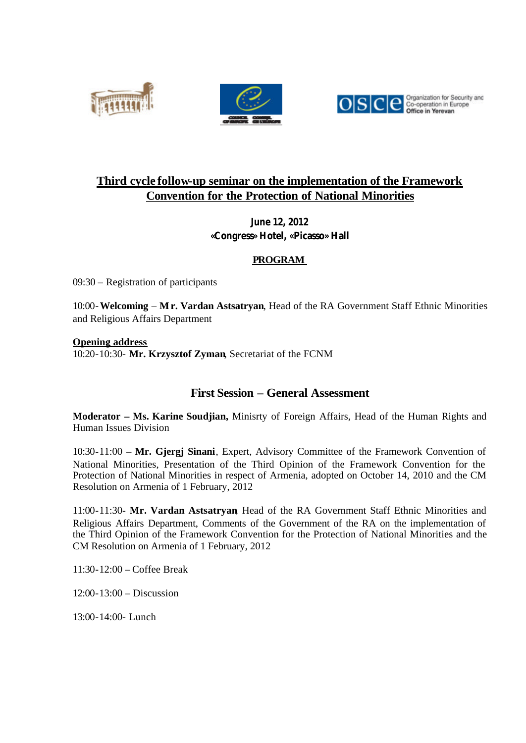





Organization for Security and Office in Yerevan

# **Third cycle follow-up seminar on the implementation of the Framework Convention for the Protection of National Minorities**

## *June 12, 2012 «Congress» Hotel, «Picasso» Hall*

### **PROGRAM**

09:30 – Registration of participants

10:00-**Welcoming** – **Mr. Vardan Astsatryan**, Head of the RA Government Staff Ethnic Minorities and Religious Affairs Department

**Opening address** 10:20-10:30- **Mr. Krzysztof Zyman**, Secretariat of the FCNM

## **First Session – General Assessment**

**Moderator – Ms. Karine Soudjian,** Minisrty of Foreign Affairs, Head of the Human Rights and Human Issues Division

10:30-11:00 – **Mr. Gjergj Sinani**, Expert, Advisory Committee of the Framework Convention of National Minorities, Presentation of the Third Opinion of the Framework Convention for the Protection of National Minorities in respect of Armenia, adopted on October 14, 2010 and the CM Resolution on Armenia of 1 February, 2012

11:00-11:30- **Mr. Vardan Astsatryan**, Head of the RA Government Staff Ethnic Minorities and Religious Affairs Department, Comments of the Government of the RA on the implementation of the Third Opinion of the Framework Convention for the Protection of National Minorities and the CM Resolution on Armenia of 1 February, 2012

11:30-12:00 – Coffee Break

12:00-13:00 – Discussion

13:00-14:00- Lunch